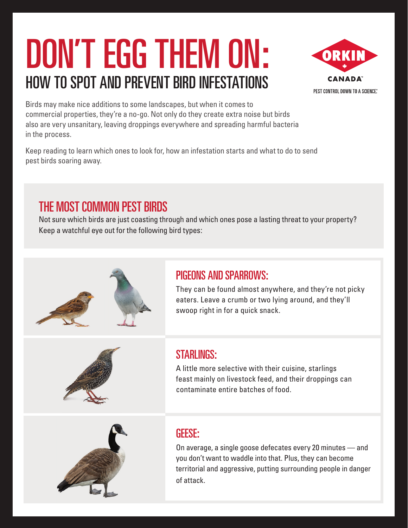# DON'T EGG THEM ON: HOW TO SPOT AND PREVENT BIRD INFESTATIONS



Birds may make nice additions to some landscapes, but when it comes to commercial properties, they're a no-go. Not only do they create extra noise but birds also are very unsanitary, leaving droppings everywhere and spreading harmful bacteria in the process.

Keep reading to learn which ones to look for, how an infestation starts and what to do to send pest birds soaring away.

## THE MOST COMMON PEST BIRDS

Not sure which birds are just coasting through and which ones pose a lasting threat to your property? Keep a watchful eye out for the following bird types:



#### PIGEONS AND SPARROWS:

They can be found almost anywhere, and they're not picky eaters. Leave a crumb or two lying around, and they'll swoop right in for a quick snack.



#### STARI INGS:

A little more selective with their cuisine, starlings feast mainly on livestock feed, and their droppings can contaminate entire batches of food.



#### GEESE:

On average, a single goose defecates every 20 minutes — and you don't want to waddle into that. Plus, they can become territorial and aggressive, putting surrounding people in danger of attack.